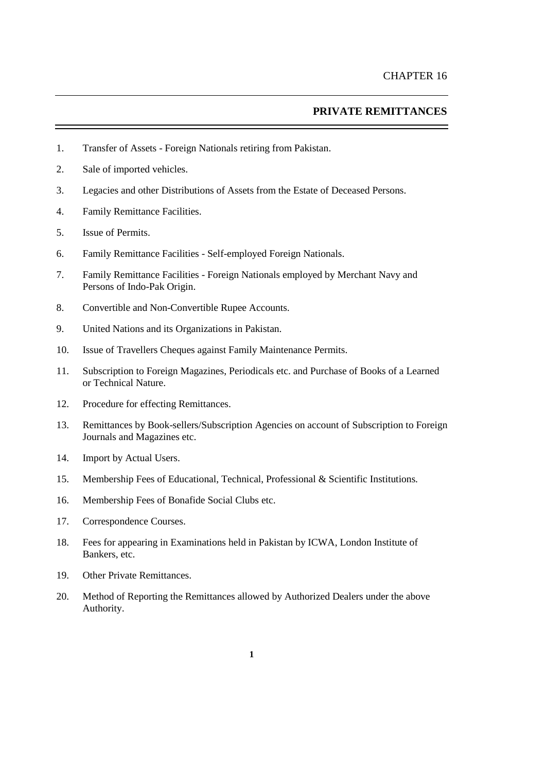### **PRIVATE REMITTANCES**

- 1. Transfer of Assets Foreign Nationals retiring from Pakistan.
- 2. Sale of imported vehicles.
- 3. Legacies and other Distributions of Assets from the Estate of Deceased Persons.
- 4. Family Remittance Facilities.
- 5. Issue of Permits.
- 6. Family Remittance Facilities Self-employed Foreign Nationals.
- 7. Family Remittance Facilities Foreign Nationals employed by Merchant Navy and Persons of Indo-Pak Origin.
- 8. Convertible and Non-Convertible Rupee Accounts.
- 9. United Nations and its Organizations in Pakistan.
- 10. Issue of Travellers Cheques against Family Maintenance Permits.
- 11. Subscription to Foreign Magazines, Periodicals etc. and Purchase of Books of a Learned or Technical Nature.
- 12. Procedure for effecting Remittances.
- 13. Remittances by Book-sellers/Subscription Agencies on account of Subscription to Foreign Journals and Magazines etc.
- 14. Import by Actual Users.
- 15. Membership Fees of Educational, Technical, Professional & Scientific Institutions.
- 16. Membership Fees of Bonafide Social Clubs etc.
- 17. Correspondence Courses.
- 18. Fees for appearing in Examinations held in Pakistan by ICWA, London Institute of Bankers, etc.
- 19. Other Private Remittances.
- 20. [Method of Reporting the Remittances allowed by Authorized Dealers under the above](#page-9-0)  [Authority.](#page-9-0)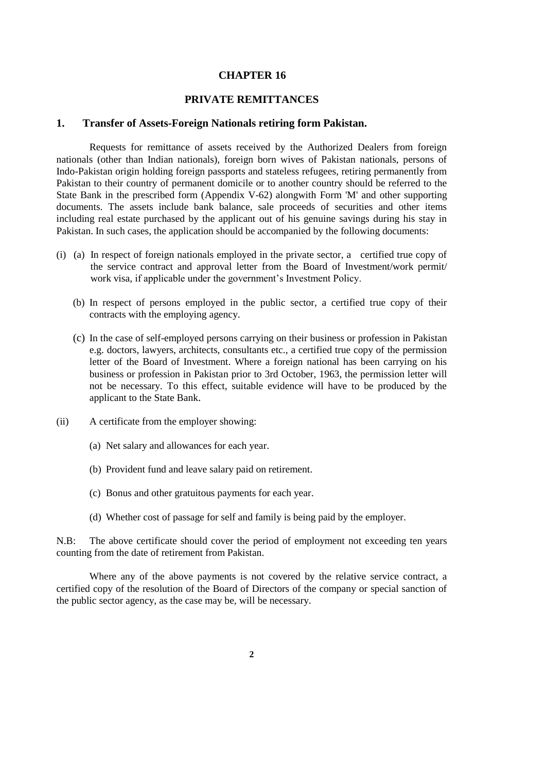# **CHAPTER 16**

### **PRIVATE REMITTANCES**

#### **1. Transfer of Assets-Foreign Nationals retiring form Pakistan.**

Requests for remittance of assets received by the Authorized Dealers from foreign nationals (other than Indian nationals), foreign born wives of Pakistan nationals, persons of Indo-Pakistan origin holding foreign passports and stateless refugees, retiring permanently from Pakistan to their country of permanent domicile or to another country should be referred to the State Bank in the prescribed form [\(Appendix V-6](../../../../shafiqur%20rehman/AppData/Local/Microsoft/Windows/Temporary%20Internet%20Files/Content.Outlook/appendix%20files/appendix%205/ap5-67.htm)2) alongwith [Form 'M'](../../../../shafiqur%20rehman/AppData/Local/Microsoft/Windows/Temporary%20Internet%20Files/Content.Outlook/appendix%20files/appendix%205/ap5-10.htm) and other supporting documents. The assets include bank balance, sale proceeds of securities and other items including real estate purchased by the applicant out of his genuine savings during his stay in Pakistan. In such cases, the application should be accompanied by the following documents:

- (i) (a) In respect of foreign nationals employed in the private sector, a certified true copy of the service contract and approval letter from the Board of Investment/work permit/ work visa, if applicable under the government's Investment Policy.
	- (b) In respect of persons employed in the public sector, a certified true copy of their contracts with the employing agency.
	- (c) In the case of self-employed persons carrying on their business or profession in Pakistan e.g. doctors, lawyers, architects, consultants etc., a certified true copy of the permission letter of the Board of Investment. Where a foreign national has been carrying on his business or profession in Pakistan prior to 3rd October, 1963, the permission letter will not be necessary. To this effect, suitable evidence will have to be produced by the applicant to the State Bank.
- (ii) A certificate from the employer showing:
	- (a) Net salary and allowances for each year.
	- (b) Provident fund and leave salary paid on retirement.
	- (c) Bonus and other gratuitous payments for each year.
	- (d) Whether cost of passage for self and family is being paid by the employer.

N.B: The above certificate should cover the period of employment not exceeding ten years counting from the date of retirement from Pakistan.

Where any of the above payments is not covered by the relative service contract, a certified copy of the resolution of the Board of Directors of the company or special sanction of the public sector agency, as the case may be, will be necessary.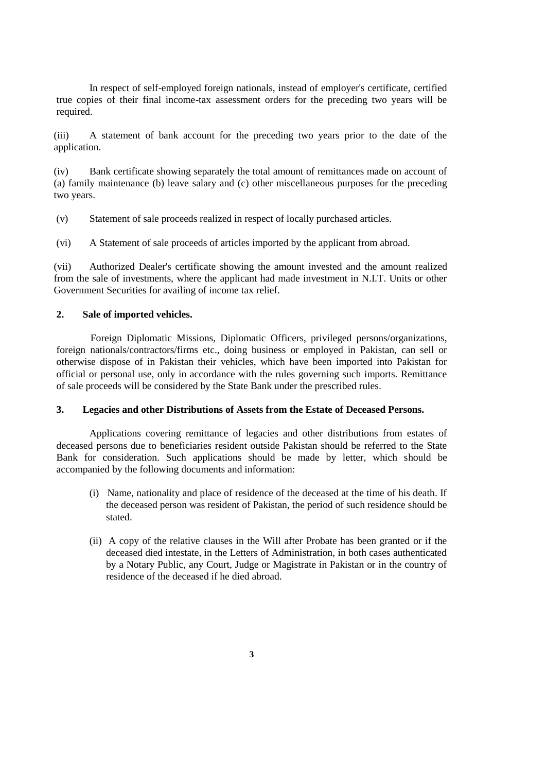In respect of self-employed foreign nationals, instead of employer's certificate, certified true copies of their final income-tax assessment orders for the preceding two years will be required.

(iii) A statement of bank account for the preceding two years prior to the date of the application.

(iv) Bank certificate showing separately the total amount of remittances made on account of (a) family maintenance (b) leave salary and (c) other miscellaneous purposes for the preceding two years.

(v) Statement of sale proceeds realized in respect of locally purchased articles.

(vi) A Statement of sale proceeds of articles imported by the applicant from abroad.

(vii) Authorized Dealer's certificate showing the amount invested and the amount realized from the sale of investments, where the applicant had made investment in N.I.T. Units or other Government Securities for availing of income tax relief.

#### **2. Sale of imported vehicles.**

Foreign Diplomatic Missions, Diplomatic Officers, privileged persons/organizations, foreign nationals/contractors/firms etc., doing business or employed in Pakistan, can sell or otherwise dispose of in Pakistan their vehicles, which have been imported into Pakistan for official or personal use, only in accordance with the rules governing such imports. Remittance of sale proceeds will be considered by the State Bank under the prescribed rules.

#### **3. Legacies and other Distributions of Assets from the Estate of Deceased Persons.**

Applications covering remittance of legacies and other distributions from estates of deceased persons due to beneficiaries resident outside Pakistan should be referred to the State Bank for consideration. Such applications should be made by letter, which should be accompanied by the following documents and information:

- (i) Name, nationality and place of residence of the deceased at the time of his death. If the deceased person was resident of Pakistan, the period of such residence should be stated.
- (ii) A copy of the relative clauses in the Will after Probate has been granted or if the deceased died intestate, in the Letters of Administration, in both cases authenticated by a Notary Public, any Court, Judge or Magistrate in Pakistan or in the country of residence of the deceased if he died abroad.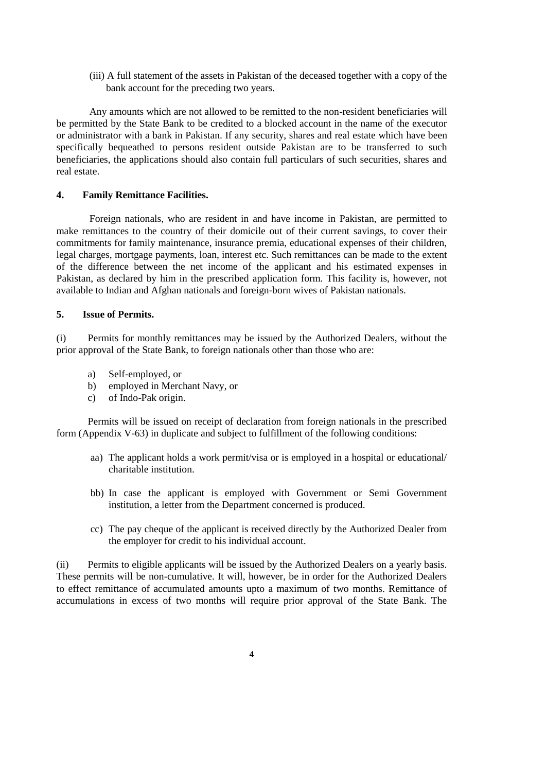(iii) A full statement of the assets in Pakistan of the deceased together with a copy of the bank account for the preceding two years.

Any amounts which are not allowed to be remitted to the non-resident beneficiaries will be permitted by the State Bank to be credited to a blocked account in the name of the executor or administrator with a bank in Pakistan. If any security, shares and real estate which have been specifically bequeathed to persons resident outside Pakistan are to be transferred to such beneficiaries, the applications should also contain full particulars of such securities, shares and real estate.

### **4. Family Remittance Facilities.**

Foreign nationals, who are resident in and have income in Pakistan, are permitted to make remittances to the country of their domicile out of their current savings, to cover their commitments for family maintenance, insurance premia, educational expenses of their children, legal charges, mortgage payments, loan, interest etc. Such remittances can be made to the extent of the difference between the net income of the applicant and his estimated expenses in Pakistan, as declared by him in the prescribed application form. This facility is, however, not available to Indian and Afghan nationals and foreign-born wives of Pakistan nationals.

### **5. Issue of Permits.**

(i) Permits for monthly remittances may be issued by the Authorized Dealers, without the prior approval of the State Bank, to foreign nationals other than those who are:

- a) Self-employed, or
- b) employed in Merchant Navy, or
- c) of Indo-Pak origin.

Permits will be issued on receipt of declaration from foreign nationals in the prescribed form [\(Appendix V-6](../../../../shafiqur%20rehman/AppData/Local/Microsoft/Windows/Temporary%20Internet%20Files/Content.Outlook/appendix%20files/appendix%205/ap5-68.htm)3) in duplicate and subject to fulfillment of the following conditions:

- aa) The applicant holds a work permit/visa or is employed in a hospital or educational/ charitable institution.
- bb) In case the applicant is employed with Government or Semi Government institution, a letter from the Department concerned is produced.
- cc) The pay cheque of the applicant is received directly by the Authorized Dealer from the employer for credit to his individual account.

(ii) Permits to eligible applicants will be issued by the Authorized Dealers on a yearly basis. These permits will be non-cumulative. It will, however, be in order for the Authorized Dealers to effect remittance of accumulated amounts upto a maximum of two months. Remittance of accumulations in excess of two months will require prior approval of the State Bank. The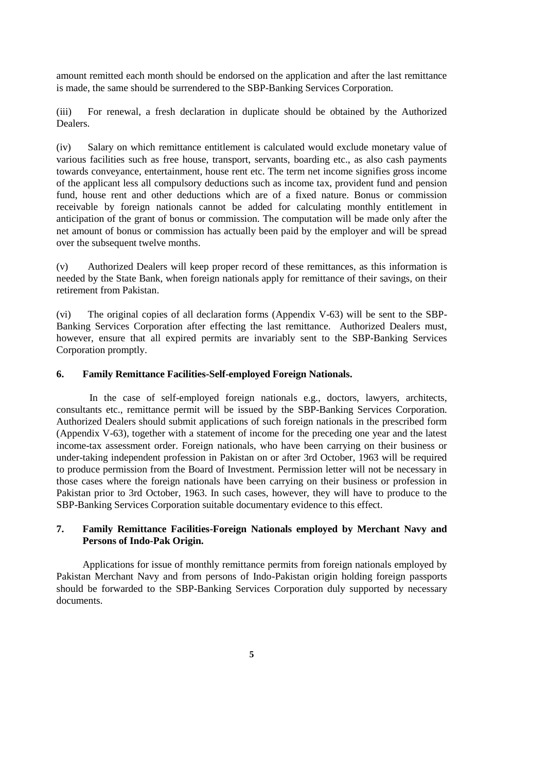amount remitted each month should be endorsed on the application and after the last remittance is made, the same should be surrendered to the SBP-Banking Services Corporation.

(iii) For renewal, a fresh declaration in duplicate should be obtained by the Authorized Dealers.

(iv) Salary on which remittance entitlement is calculated would exclude monetary value of various facilities such as free house, transport, servants, boarding etc., as also cash payments towards conveyance, entertainment, house rent etc. The term net income signifies gross income of the applicant less all compulsory deductions such as income tax, provident fund and pension fund, house rent and other deductions which are of a fixed nature. Bonus or commission receivable by foreign nationals cannot be added for calculating monthly entitlement in anticipation of the grant of bonus or commission. The computation will be made only after the net amount of bonus or commission has actually been paid by the employer and will be spread over the subsequent twelve months.

(v) Authorized Dealers will keep proper record of these remittances, as this information is needed by the State Bank, when foreign nationals apply for remittance of their savings, on their retirement from Pakistan.

(vi) The original copies of all declaration forms [\(Appendix V-6](../../../../shafiqur%20rehman/AppData/Local/Microsoft/Windows/Temporary%20Internet%20Files/Content.Outlook/appendix%20files/appendix%205/ap5-68.htm)3) will be sent to the SBP-Banking Services Corporation after effecting the last remittance. Authorized Dealers must, however, ensure that all expired permits are invariably sent to the SBP-Banking Services Corporation promptly.

### **6. Family Remittance Facilities-Self-employed Foreign Nationals.**

In the case of self-employed foreign nationals e.g., doctors, lawyers, architects, consultants etc., remittance permit will be issued by the SBP-Banking Services Corporation. Authorized Dealers should submit applications of such foreign nationals in the prescribed form [\(Appendix V-6](../../../../shafiqur%20rehman/AppData/Local/Microsoft/Windows/Temporary%20Internet%20Files/Content.Outlook/appendix%20files/appendix%205/ap5-68.htm)3), together with a statement of income for the preceding one year and the latest income-tax assessment order. Foreign nationals, who have been carrying on their business or under-taking independent profession in Pakistan on or after 3rd October, 1963 will be required to produce permission from the Board of Investment. Permission letter will not be necessary in those cases where the foreign nationals have been carrying on their business or profession in Pakistan prior to 3rd October, 1963. In such cases, however, they will have to produce to the SBP-Banking Services Corporation suitable documentary evidence to this effect.

# **7. Family Remittance Facilities-Foreign Nationals employed by Merchant Navy and Persons of Indo-Pak Origin.**

Applications for issue of monthly remittance permits from foreign nationals employed by Pakistan Merchant Navy and from persons of Indo-Pakistan origin holding foreign passports should be forwarded to the SBP-Banking Services Corporation duly supported by necessary documents.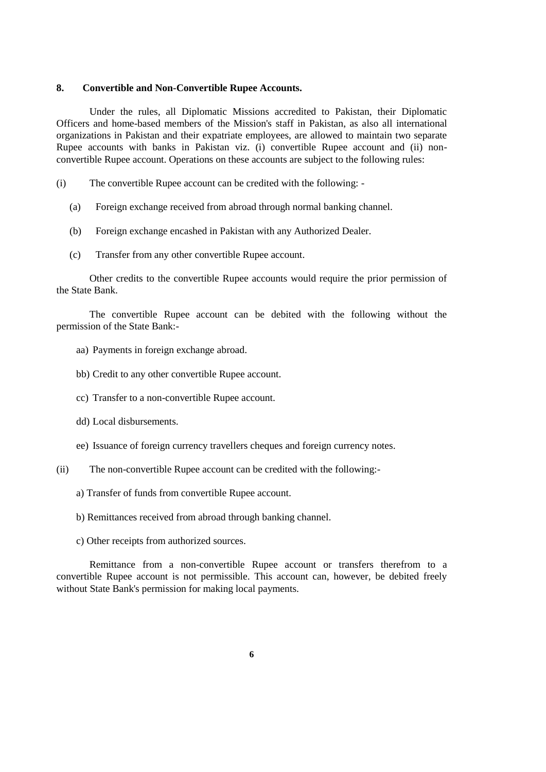### **8. Convertible and Non-Convertible Rupee Accounts.**

Under the rules, all Diplomatic Missions accredited to Pakistan, their Diplomatic Officers and home-based members of the Mission's staff in Pakistan, as also all international organizations in Pakistan and their expatriate employees, are allowed to maintain two separate Rupee accounts with banks in Pakistan viz. (i) convertible Rupee account and (ii) nonconvertible Rupee account. Operations on these accounts are subject to the following rules:

- (i) The convertible Rupee account can be credited with the following:
	- (a) Foreign exchange received from abroad through normal banking channel.
	- (b) Foreign exchange encashed in Pakistan with any Authorized Dealer.
	- (c) Transfer from any other convertible Rupee account.

Other credits to the convertible Rupee accounts would require the prior permission of the State Bank.

The convertible Rupee account can be debited with the following without the permission of the State Bank:-

- aa) Payments in foreign exchange abroad.
- bb) Credit to any other convertible Rupee account.
- cc) Transfer to a non-convertible Rupee account.
- dd) Local disbursements.
- ee) Issuance of foreign currency travellers cheques and foreign currency notes.
- (ii) The non-convertible Rupee account can be credited with the following:
	- a) Transfer of funds from convertible Rupee account.
	- b) Remittances received from abroad through banking channel.
	- c) Other receipts from authorized sources.

Remittance from a non-convertible Rupee account or transfers therefrom to a convertible Rupee account is not permissible. This account can, however, be debited freely without State Bank's permission for making local payments.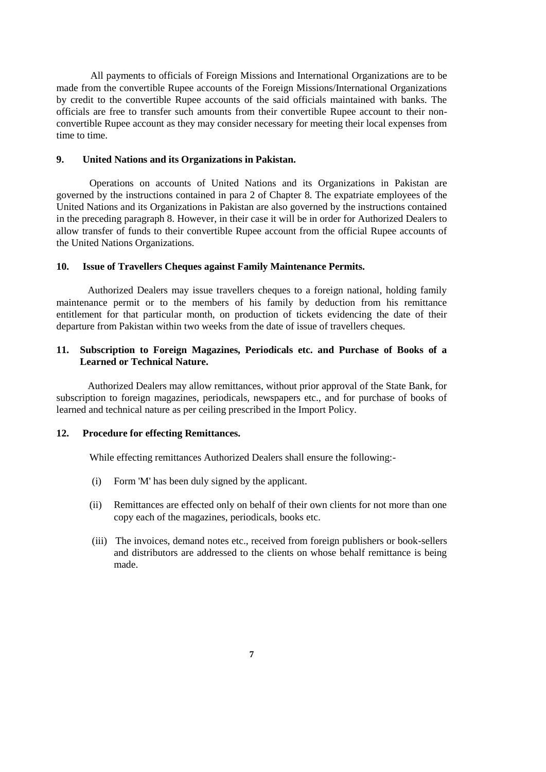All payments to officials of Foreign Missions and International Organizations are to be made from the convertible Rupee accounts of the Foreign Missions/International Organizations by credit to the convertible Rupee accounts of the said officials maintained with banks. The officials are free to transfer such amounts from their convertible Rupee account to their nonconvertible Rupee account as they may consider necessary for meeting their local expenses from time to time.

### **9. United Nations and its Organizations in Pakistan.**

Operations on accounts of United Nations and its Organizations in Pakistan are governed by the instructions contained in [para 2 of Chapter 8](../../../../shafiqur%20rehman/AppData/Local/Microsoft/Windows/Temporary%20Internet%20Files/Content.Outlook/THVP5GQP/chapter8.htm#Bullet 2). The expatriate employees of the United Nations and its Organizations in Pakistan are also governed by the instructions contained in the preceding [paragraph 8.](../../../../shafiqur%20rehman/AppData/Local/Microsoft/Windows/Temporary%20Internet%20Files/Content.Outlook/THVP5GQP/chapter16.htm#Bullet 8) However, in their case it will be in order for Authorized Dealers to allow transfer of funds to their convertible Rupee account from the official Rupee accounts of the United Nations Organizations.

### **10. Issue of Travellers Cheques against Family Maintenance Permits.**

Authorized Dealers may issue travellers cheques to a foreign national, holding family maintenance permit or to the members of his family by deduction from his remittance entitlement for that particular month, on production of tickets evidencing the date of their departure from Pakistan within two weeks from the date of issue of travellers cheques.

### **11. Subscription to Foreign Magazines, Periodicals etc. and Purchase of Books of a Learned or Technical Nature.**

Authorized Dealers may allow remittances, without prior approval of the State Bank, for subscription to foreign magazines, periodicals, newspapers etc., and for purchase of books of learned and technical nature as per ceiling prescribed in the Import Policy.

## **12. Procedure for effecting Remittances.**

While effecting remittances Authorized Dealers shall ensure the following:-

- (i) [Form 'M'](../../../../shafiqur%20rehman/AppData/Local/Microsoft/Windows/Temporary%20Internet%20Files/Content.Outlook/appendix%20files/appendix%205/ap5-10.htm) has been duly signed by the applicant.
- (ii) Remittances are effected only on behalf of their own clients for not more than one copy each of the magazines, periodicals, books etc.
- (iii) The invoices, demand notes etc., received from foreign publishers or book-sellers and distributors are addressed to the clients on whose behalf remittance is being made.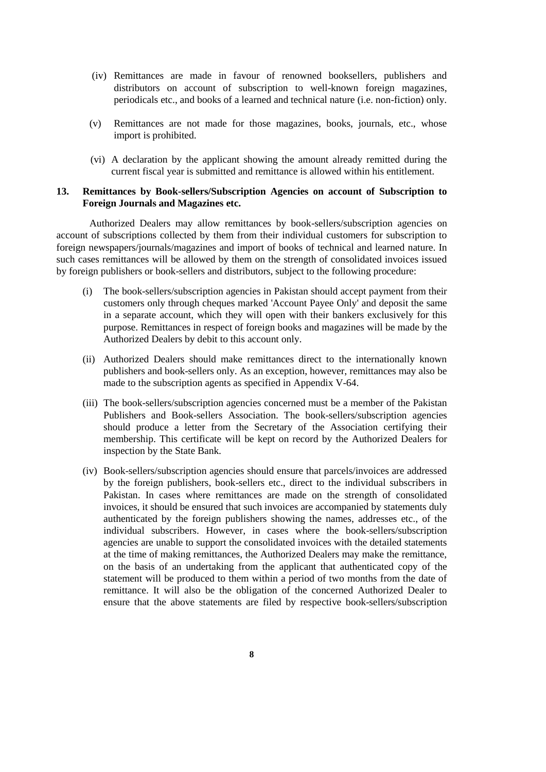- (iv) Remittances are made in favour of renowned booksellers, publishers and distributors on account of subscription to well-known foreign magazines, periodicals etc., and books of a learned and technical nature (i.e. non-fiction) only.
- (v) Remittances are not made for those magazines, books, journals, etc., whose import is prohibited.
- (vi) A declaration by the applicant showing the amount already remitted during the current fiscal year is submitted and remittance is allowed within his entitlement.

# **13. Remittances by Book-sellers/Subscription Agencies on account of Subscription to Foreign Journals and Magazines etc.**

Authorized Dealers may allow remittances by book-sellers/subscription agencies on account of subscriptions collected by them from their individual customers for subscription to foreign newspapers/journals/magazines and import of books of technical and learned nature. In such cases remittances will be allowed by them on the strength of consolidated invoices issued by foreign publishers or book-sellers and distributors, subject to the following procedure:

- (i) The book-sellers/subscription agencies in Pakistan should accept payment from their customers only through cheques marked 'Account Payee Only' and deposit the same in a separate account, which they will open with their bankers exclusively for this purpose. Remittances in respect of foreign books and magazines will be made by the Authorized Dealers by debit to this account only.
- (ii) Authorized Dealers should make remittances direct to the internationally known publishers and book-sellers only. As an exception, however, remittances may also be made to the subscription agents as specified in [Appendix V-](../../../../shafiqur%20rehman/AppData/Local/Microsoft/Windows/Temporary%20Internet%20Files/Content.Outlook/appendix%20files/appendix%205/ap5-69.htm)64.
- (iii) The book-sellers/subscription agencies concerned must be a member of the Pakistan Publishers and Book-sellers Association. The book-sellers/subscription agencies should produce a letter from the Secretary of the Association certifying their membership. This certificate will be kept on record by the Authorized Dealers for inspection by the State Bank.
- (iv) Book-sellers/subscription agencies should ensure that parcels/invoices are addressed by the foreign publishers, book-sellers etc., direct to the individual subscribers in Pakistan. In cases where remittances are made on the strength of consolidated invoices, it should be ensured that such invoices are accompanied by statements duly authenticated by the foreign publishers showing the names, addresses etc., of the individual subscribers. However, in cases where the book-sellers/subscription agencies are unable to support the consolidated invoices with the detailed statements at the time of making remittances, the Authorized Dealers may make the remittance, on the basis of an undertaking from the applicant that authenticated copy of the statement will be produced to them within a period of two months from the date of remittance. It will also be the obligation of the concerned Authorized Dealer to ensure that the above statements are filed by respective book-sellers/subscription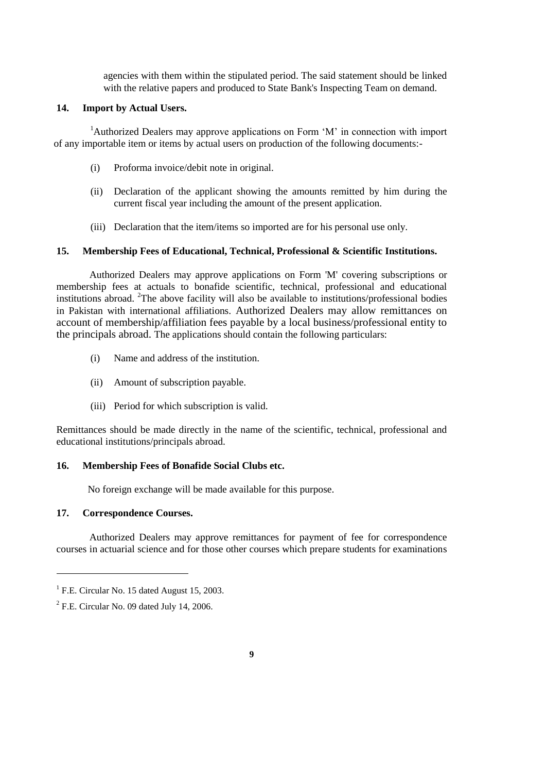agencies with them within the stipulated period. The said statement should be linked with the relative papers and produced to State Bank's Inspecting Team on demand.

### **14. Import by Actual Users.**

<sup>1</sup>Authorized Dealers may approve applications on Form 'M' in connection with import of any importable item or items by actual users on production of the following documents:-

- (i) Proforma invoice/debit note in original.
- (ii) Declaration of the applicant showing the amounts remitted by him during the current fiscal year including the amount of the present application.
- (iii) Declaration that the item/items so imported are for his personal use only.

### **15. Membership Fees of Educational, Technical, Professional & Scientific Institutions.**

Authorized Dealers may approve applications on [Form 'M'](../../../../shafiqur%20rehman/AppData/Local/Microsoft/Windows/Temporary%20Internet%20Files/Content.Outlook/appendix%20files/appendix%205/ap5-10.htm) covering subscriptions or membership fees at actuals to bonafide scientific, technical, professional and educational institutions abroad. <sup>2</sup>The above facility will also be available to institutions/professional bodies in Pakistan with international affiliations. Authorized Dealers may allow remittances on account of membership/affiliation fees payable by a local business/professional entity to the principals abroad. The applications should contain the following particulars:

- (i) Name and address of the institution.
- (ii) Amount of subscription payable.
- (iii) Period for which subscription is valid.

Remittances should be made directly in the name of the scientific, technical, professional and educational institutions/principals abroad.

# **16. Membership Fees of Bonafide Social Clubs etc.**

No foreign exchange will be made available for this purpose.

### **17. Correspondence Courses.**

 $\overline{a}$ 

Authorized Dealers may approve remittances for payment of fee for correspondence courses in actuarial science and for those other courses which prepare students for examinations

<sup>&</sup>lt;sup>1</sup> F.E. Circular No. 15 dated August 15, 2003.

 $2$  F.E. Circular No. 09 dated July 14, 2006.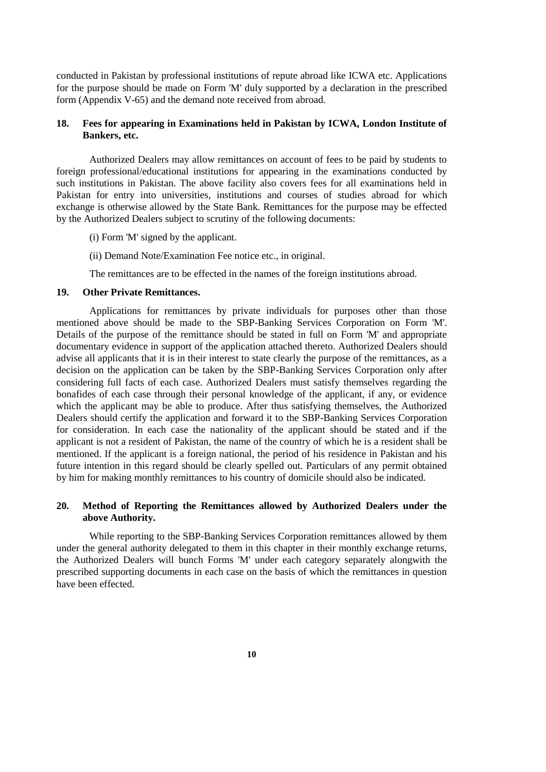conducted in Pakistan by professional institutions of repute abroad like ICWA etc. Applications for the purpose should be made on [Form 'M'](../../../../shafiqur%20rehman/AppData/Local/Microsoft/Windows/Temporary%20Internet%20Files/Content.Outlook/appendix%20files/appendix%205/ap5-10.htm) duly supported by a declaration in the prescribed form [\(Appendix V-6](../../../../shafiqur%20rehman/AppData/Local/Microsoft/Windows/Temporary%20Internet%20Files/Content.Outlook/appendix%20files/appendix%205/ap5-70.htm)5) and the demand note received from abroad.

### **18. Fees for appearing in Examinations held in Pakistan by ICWA, London Institute of Bankers, etc.**

Authorized Dealers may allow remittances on account of fees to be paid by students to foreign professional/educational institutions for appearing in the examinations conducted by such institutions in Pakistan. The above facility also covers fees for all examinations held in Pakistan for entry into universities, institutions and courses of studies abroad for which exchange is otherwise allowed by the State Bank. Remittances for the purpose may be effected by the Authorized Dealers subject to scrutiny of the following documents:

(i[\) Form 'M'](../../../../shafiqur%20rehman/AppData/Local/Microsoft/Windows/Temporary%20Internet%20Files/Content.Outlook/appendix%20files/appendix%205/ap5-10.htm) signed by the applicant.

(ii) Demand Note/Examination Fee notice etc., in original.

The remittances are to be effected in the names of the foreign institutions abroad.

# **19. Other Private Remittances.**

Applications for remittances by private individuals for purposes other than those mentioned above should be made to the SBP-Banking Services Corporation on [Form 'M'.](../../../../shafiqur%20rehman/AppData/Local/Microsoft/Windows/Temporary%20Internet%20Files/Content.Outlook/appendix%20files/appendix%205/ap5-10.htm) Details of the purpose of the remittance should be stated in full on Form 'M' and appropriate documentary evidence in support of the application attached thereto. Authorized Dealers should advise all applicants that it is in their interest to state clearly the purpose of the remittances, as a decision on the application can be taken by the SBP-Banking Services Corporation only after considering full facts of each case. Authorized Dealers must satisfy themselves regarding the bonafides of each case through their personal knowledge of the applicant, if any, or evidence which the applicant may be able to produce. After thus satisfying themselves, the Authorized Dealers should certify the application and forward it to the SBP-Banking Services Corporation for consideration. In each case the nationality of the applicant should be stated and if the applicant is not a resident of Pakistan, the name of the country of which he is a resident shall be mentioned. If the applicant is a foreign national, the period of his residence in Pakistan and his future intention in this regard should be clearly spelled out. Particulars of any permit obtained by him for making monthly remittances to his country of domicile should also be indicated.

## <span id="page-9-0"></span>**20. Method of Reporting the Remittances allowed by Authorized Dealers under the above Authority.**

While reporting to the SBP-Banking Services Corporation remittances allowed by them under the general authority delegated to them in this chapter in their monthly exchange returns, the Authorized Dealers will bunch [Forms 'M'](../../../../shafiqur%20rehman/AppData/Local/Microsoft/Windows/Temporary%20Internet%20Files/appendix%20files/appendix%205/ap5-10.htm) under each category separately alongwith the prescribed supporting documents in each case on the basis of which the remittances in question have been effected.